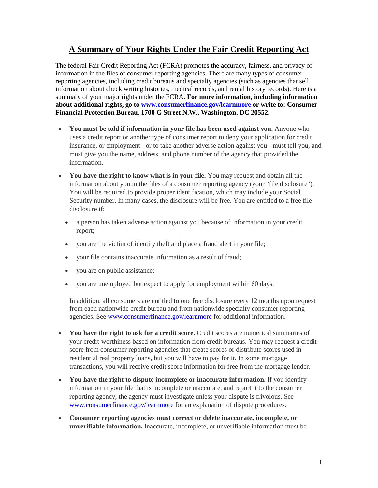## **A Summary of Your Rights Under the Fair Credit Reporting Act**

The federal Fair Credit Reporting Act (FCRA) promotes the accuracy, fairness, and privacy of information in the files of consumer reporting agencies. There are many types of consumer reporting agencies, including credit bureaus and specialty agencies (such as agencies that sell information about check writing histories, medical records, and rental history records). Here is a summary of your major rights under the FCRA. **For more information, including information about additional rights, go t[o www.consumerfinance.gov/learnmore](http://www.consumerfinance.gov/learnmore) or write to: Consumer Financial Protection Bureau, 1700 G Street N.W., Washington, DC 20552.**

- **You must be told if information in your file has been used against you.** Anyone who uses a credit report or another type of consumer report to deny your application for credit, insurance, or employment - or to take another adverse action against you - must tell you, and must give you the name, address, and phone number of the agency that provided the information.
- **You have the right to know what is in your file.** You may request and obtain all the information about you in the files of a consumer reporting agency (your "file disclosure"). You will be required to provide proper identification, which may include your Social Security number. In many cases, the disclosure will be free. You are entitled to a free file disclosure if:
	- a person has taken adverse action against you because of information in your credit report;
	- you are the victim of identity theft and place a fraud alert in your file;
	- your file contains inaccurate information as a result of fraud;
	- you are on public assistance;
	- you are unemployed but expect to apply for employment within 60 days.

In addition, all consumers are entitled to one free disclosure every 12 months upon request from each nationwide credit bureau and from nationwide specialty consumer reporting agencies. See [www.consumerfinance.gov/learnmore](http://www.consumerfinance.gov/learnmore) for additional information.

- **You have the right to ask for a credit score.** Credit scores are numerical summaries of your credit-worthiness based on information from credit bureaus. You may request a credit score from consumer reporting agencies that create scores or distribute scores used in residential real property loans, but you will have to pay for it. In some mortgage transactions, you will receive credit score information for free from the mortgage lender.
- **You have the right to dispute incomplete or inaccurate information.** If you identify information in your file that is incomplete or inaccurate, and report it to the consumer reporting agency, the agency must investigate unless your dispute is frivolous. See [www.consumerfinance.gov/learnmore](http://www.consumerfinance.gov/learnmore) for an explanation of dispute procedures.
- **Consumer reporting agencies must correct or delete inaccurate, incomplete, or unverifiable information.** Inaccurate, incomplete, or unverifiable information must be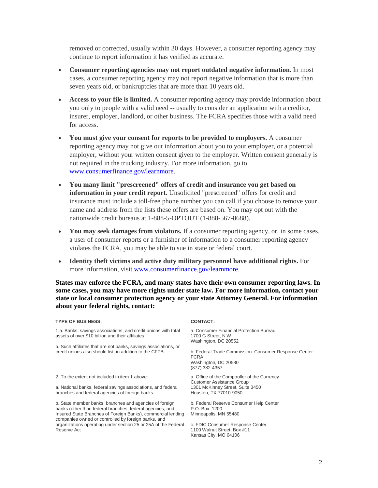removed or corrected, usually within 30 days. However, a consumer reporting agency may continue to report information it has verified as accurate.

- **Consumer reporting agencies may not report outdated negative information.** In most cases, a consumer reporting agency may not report negative information that is more than seven years old, or bankruptcies that are more than 10 years old.
- **Access to your file is limited.** A consumer reporting agency may provide information about you only to people with a valid need -- usually to consider an application with a creditor, insurer, employer, landlord, or other business. The FCRA specifies those with a valid need for access.
- **You must give your consent for reports to be provided to employers.** A consumer reporting agency may not give out information about you to your employer, or a potential employer, without your written consent given to the employer. Written consent generally is not required in the trucking industry. For more information, go to [www.consumerfinance.gov/learnmore.](http://www.consumerfinance.gov/learnmore)
- **You many limit "prescreened" offers of credit and insurance you get based on information in your credit report.** Unsolicited "prescreened" offers for credit and insurance must include a toll-free phone number you can call if you choose to remove your name and address from the lists these offers are based on. You may opt out with the nationwide credit bureaus at 1-888-5-OPTOUT (1-888-567-8688).
- **You may seek damages from violators.** If a consumer reporting agency, or, in some cases, a user of consumer reports or a furnisher of information to a consumer reporting agency violates the FCRA, you may be able to sue in state or federal court.
- **Identity theft victims and active duty military personnel have additional rights.** For more information, visit [www.consumerfinance.gov/learnmore.](http://www.consumerfinance.gov/learnmore)

**States may enforce the FCRA, and many states have their own consumer reporting laws. In some cases, you may have more rights under state law. For more information, contact your state or local consumer protection agency or your state Attorney General. For information about your federal rights, contact:**

## **TYPE OF BUSINESS: CONTACT:**

1.a. Banks, savings associations, and credit unions with total assets of over \$10 billion and their affiliates

b. Such affiliates that are not banks, savings associations, or credit unions also should list, in addition to the CFPB:

2. To the extent not included in item 1 above:

a. National banks, federal savings associations, and federal branches and federal agencies of foreign banks

b. State member banks, branches and agencies of foreign banks (other than federal branches, federal agencies, and Insured State Branches of Foreign Banks), commercial lending companies owned or controlled by foreign banks, and organizations operating under section 25 or 25A of the Federal Reserve Act

a. Consumer Financial Protection Bureau 1700 G Street, N.W. Washington, DC 20552

b. Federal Trade Commission: Consumer Response Center - **FCRA** Washington, DC 20580 (877) 382-4357

a. Office of the Comptroller of the Currency Customer Assistance Group 1301 McKinney Street, Suite 3450 Houston, TX 77010-9050

b. Federal Reserve Consumer Help Center P.O. Box. 1200 Minneapolis, MN 55480

c. FDIC Consumer Response Center 1100 Walnut Street, Box #11 Kansas City, MO 64106